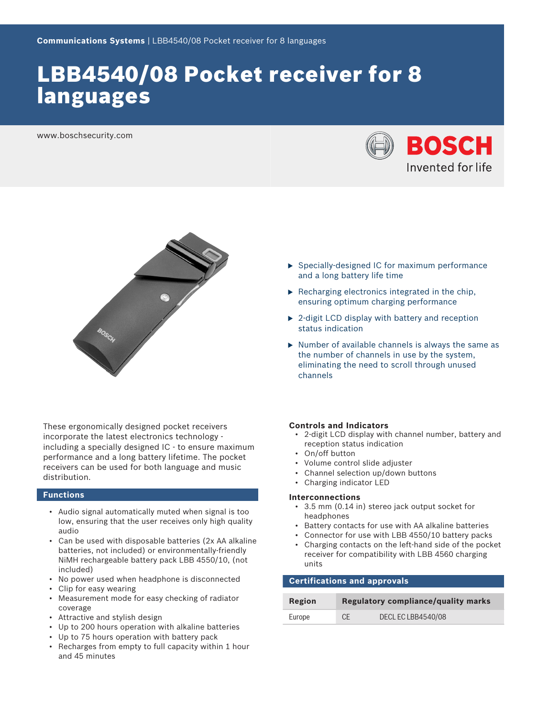# LBB4540/08 Pocket receiver for 8 languages

www.boschsecurity.com





These ergonomically designed pocket receivers incorporate the latest electronics technology including a specially designed IC - to ensure maximum performance and a long battery lifetime. The pocket receivers can be used for both language and music distribution.

#### **Functions**

- Audio signal automatically muted when signal is too low, ensuring that the user receives only high quality audio
- Can be used with disposable batteries (2x AA alkaline batteries, not included) or environmentally-friendly NiMH rechargeable battery pack LBB 4550/10, (not included)
- No power used when headphone is disconnected
- Clip for easy wearing
- Measurement mode for easy checking of radiator coverage
- Attractive and stylish design
- Up to 200 hours operation with alkaline batteries
- Up to 75 hours operation with battery pack
- Recharges from empty to full capacity within 1 hour and 45 minutes
- $\triangleright$  Specially-designed IC for maximum performance and a long battery life time
- $\blacktriangleright$  Recharging electronics integrated in the chip. ensuring optimum charging performance
- $\triangleright$  2-digit LCD display with battery and reception status indication
- $\triangleright$  Number of available channels is always the same as the number of channels in use by the system, eliminating the need to scroll through unused channels

#### **Controls and Indicators**

- 2-digit LCD display with channel number, battery and reception status indication
- On/off button
- Volume control slide adjuster
- Channel selection up/down buttons
- Charging indicator LED

#### **Interconnections**

- 3.5 mm (0.14 in) stereo jack output socket for headphones
- Battery contacts for use with AA alkaline batteries
- Connector for use with LBB 4550/10 battery packs
- Charging contacts on the left-hand side of the pocket receiver for compatibility with LBB 4560 charging units

### **Certifications and approvals**

| Region | Regulatory compliance/quality marks |                    |
|--------|-------------------------------------|--------------------|
| Europe | <b>CE</b>                           | DECL EC LBB4540/08 |